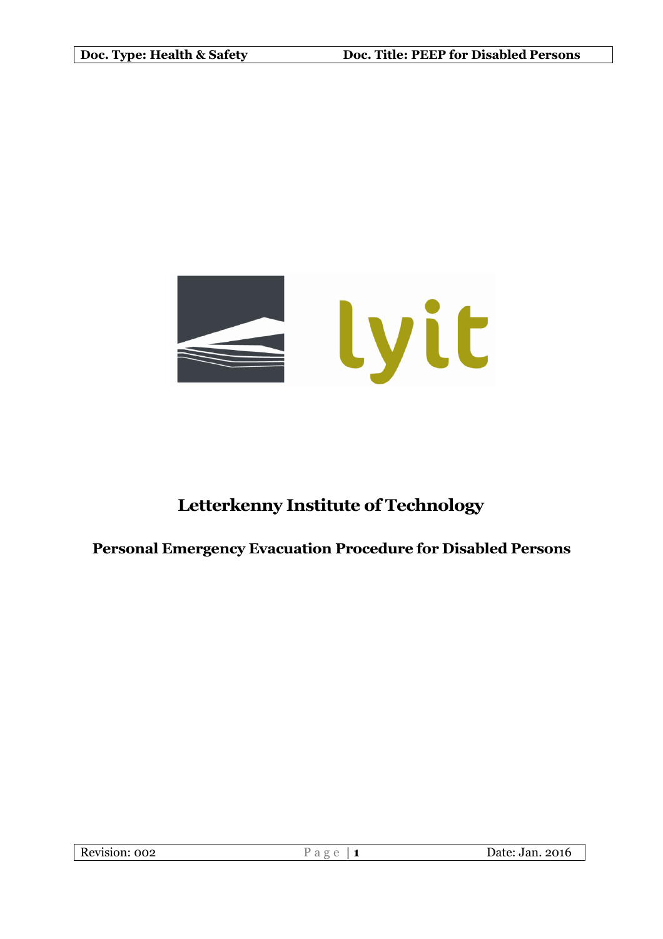

# **Letterkenny Institute of Technology**

# **Personal Emergency Evacuation Procedure for Disabled Persons**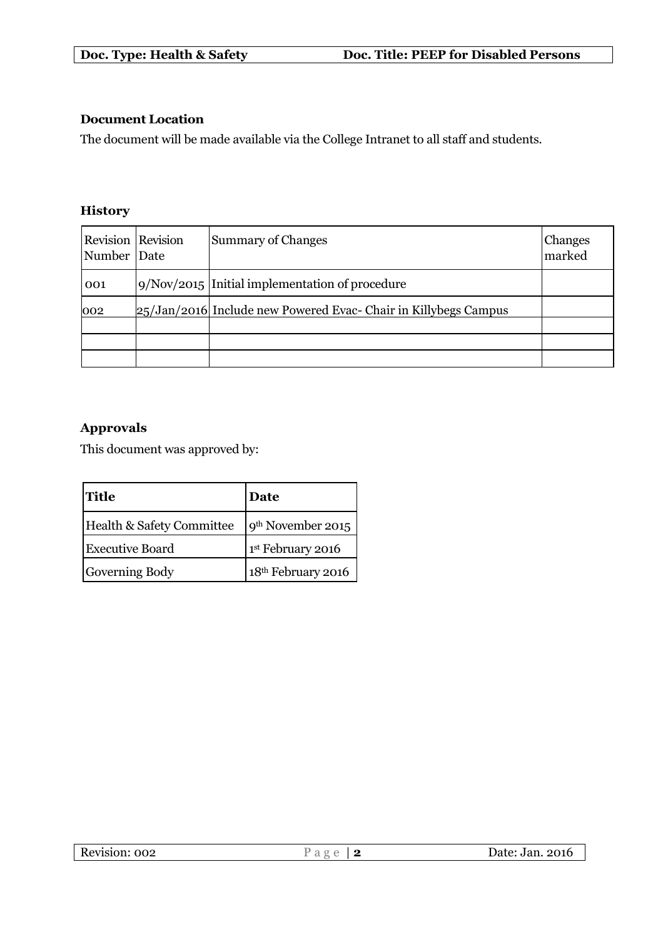# **Document Location**

The document will be made available via the College Intranet to all staff and students.

# **History**

| <b>Revision</b> Revision<br>Number Date | <b>Summary of Changes</b>                                         | Changes<br>marked |
|-----------------------------------------|-------------------------------------------------------------------|-------------------|
| 001                                     | 9/Nov/2015 Initial implementation of procedure                    |                   |
| 002                                     | $25/Jan/2016$ Include new Powered Evac- Chair in Killybegs Campus |                   |
|                                         |                                                                   |                   |
|                                         |                                                                   |                   |

# **Approvals**

This document was approved by:

| <b>Title</b>              | Date                           |
|---------------------------|--------------------------------|
| Health & Safety Committee | 9 <sup>th</sup> November 2015  |
| <b>Executive Board</b>    | 1st February 2016              |
| Governing Body            | 18 <sup>th</sup> February 2016 |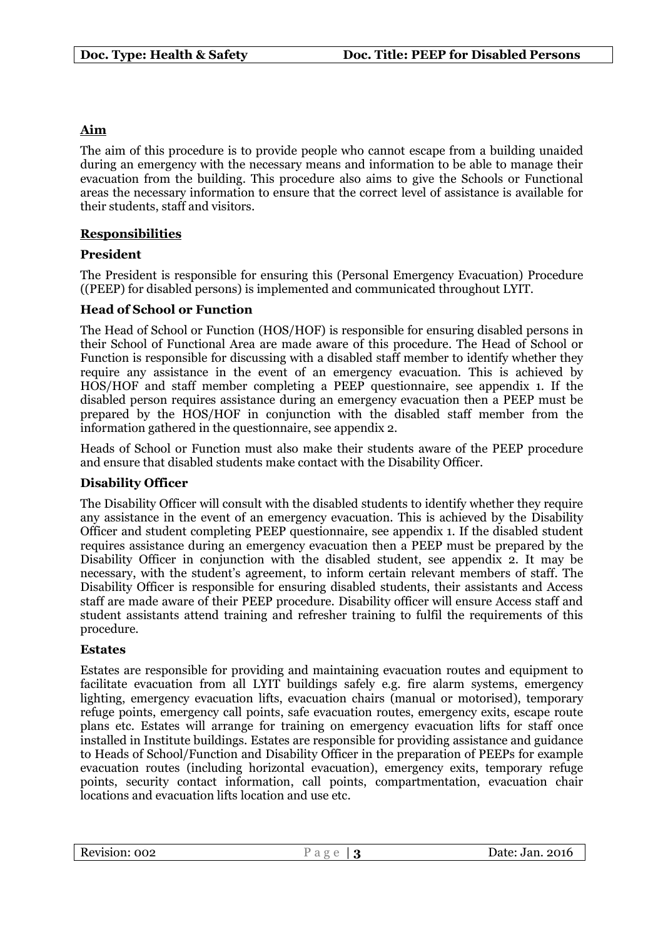# **Aim**

The aim of this procedure is to provide people who cannot escape from a building unaided during an emergency with the necessary means and information to be able to manage their evacuation from the building. This procedure also aims to give the Schools or Functional areas the necessary information to ensure that the correct level of assistance is available for their students, staff and visitors.

# **Responsibilities**

#### **President**

The President is responsible for ensuring this (Personal Emergency Evacuation) Procedure ((PEEP) for disabled persons) is implemented and communicated throughout LYIT.

# **Head of School or Function**

The Head of School or Function (HOS/HOF) is responsible for ensuring disabled persons in their School of Functional Area are made aware of this procedure. The Head of School or Function is responsible for discussing with a disabled staff member to identify whether they require any assistance in the event of an emergency evacuation. This is achieved by HOS/HOF and staff member completing a PEEP questionnaire, see appendix 1. If the disabled person requires assistance during an emergency evacuation then a PEEP must be prepared by the HOS/HOF in conjunction with the disabled staff member from the information gathered in the questionnaire, see appendix 2.

Heads of School or Function must also make their students aware of the PEEP procedure and ensure that disabled students make contact with the Disability Officer.

#### **Disability Officer**

The Disability Officer will consult with the disabled students to identify whether they require any assistance in the event of an emergency evacuation. This is achieved by the Disability Officer and student completing PEEP questionnaire, see appendix 1. If the disabled student requires assistance during an emergency evacuation then a PEEP must be prepared by the Disability Officer in conjunction with the disabled student, see appendix 2. It may be necessary, with the student's agreement, to inform certain relevant members of staff. The Disability Officer is responsible for ensuring disabled students, their assistants and Access staff are made aware of their PEEP procedure. Disability officer will ensure Access staff and student assistants attend training and refresher training to fulfil the requirements of this procedure.

#### **Estates**

Estates are responsible for providing and maintaining evacuation routes and equipment to facilitate evacuation from all LYIT buildings safely e.g. fire alarm systems, emergency lighting, emergency evacuation lifts, evacuation chairs (manual or motorised), temporary refuge points, emergency call points, safe evacuation routes, emergency exits, escape route plans etc. Estates will arrange for training on emergency evacuation lifts for staff once installed in Institute buildings. Estates are responsible for providing assistance and guidance to Heads of School/Function and Disability Officer in the preparation of PEEPs for example evacuation routes (including horizontal evacuation), emergency exits, temporary refuge points, security contact information, call points, compartmentation, evacuation chair locations and evacuation lifts location and use etc.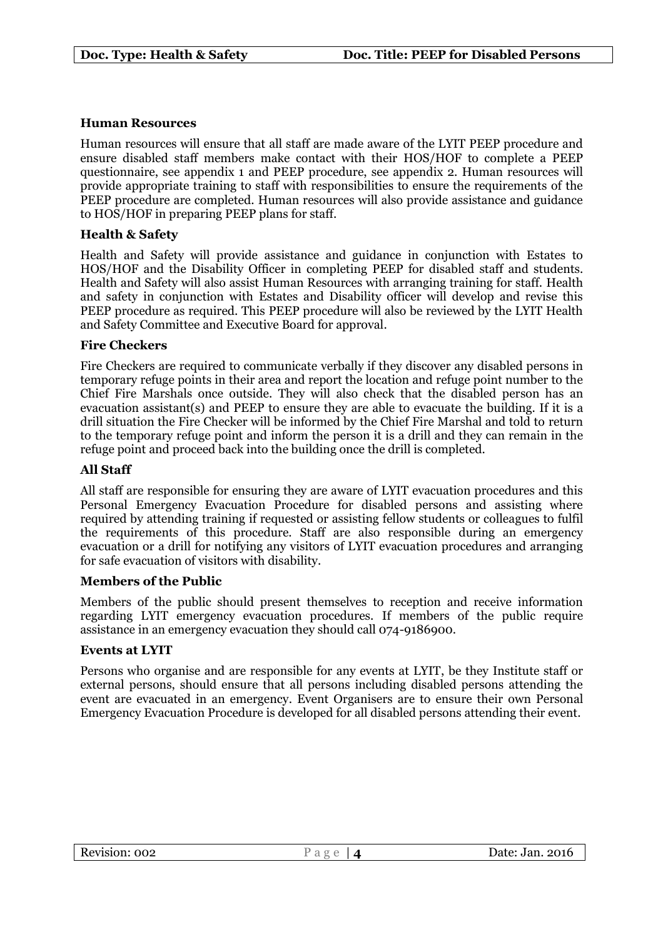#### **Human Resources**

Human resources will ensure that all staff are made aware of the LYIT PEEP procedure and ensure disabled staff members make contact with their HOS/HOF to complete a PEEP questionnaire, see appendix 1 and PEEP procedure, see appendix 2. Human resources will provide appropriate training to staff with responsibilities to ensure the requirements of the PEEP procedure are completed. Human resources will also provide assistance and guidance to HOS/HOF in preparing PEEP plans for staff.

# **Health & Safety**

Health and Safety will provide assistance and guidance in conjunction with Estates to HOS/HOF and the Disability Officer in completing PEEP for disabled staff and students. Health and Safety will also assist Human Resources with arranging training for staff. Health and safety in conjunction with Estates and Disability officer will develop and revise this PEEP procedure as required. This PEEP procedure will also be reviewed by the LYIT Health and Safety Committee and Executive Board for approval.

# **Fire Checkers**

Fire Checkers are required to communicate verbally if they discover any disabled persons in temporary refuge points in their area and report the location and refuge point number to the Chief Fire Marshals once outside. They will also check that the disabled person has an evacuation assistant(s) and PEEP to ensure they are able to evacuate the building. If it is a drill situation the Fire Checker will be informed by the Chief Fire Marshal and told to return to the temporary refuge point and inform the person it is a drill and they can remain in the refuge point and proceed back into the building once the drill is completed.

### **All Staff**

All staff are responsible for ensuring they are aware of LYIT evacuation procedures and this Personal Emergency Evacuation Procedure for disabled persons and assisting where required by attending training if requested or assisting fellow students or colleagues to fulfil the requirements of this procedure. Staff are also responsible during an emergency evacuation or a drill for notifying any visitors of LYIT evacuation procedures and arranging for safe evacuation of visitors with disability.

#### **Members of the Public**

Members of the public should present themselves to reception and receive information regarding LYIT emergency evacuation procedures. If members of the public require assistance in an emergency evacuation they should call 074-9186900.

#### **Events at LYIT**

Persons who organise and are responsible for any events at LYIT, be they Institute staff or external persons, should ensure that all persons including disabled persons attending the event are evacuated in an emergency. Event Organisers are to ensure their own Personal Emergency Evacuation Procedure is developed for all disabled persons attending their event.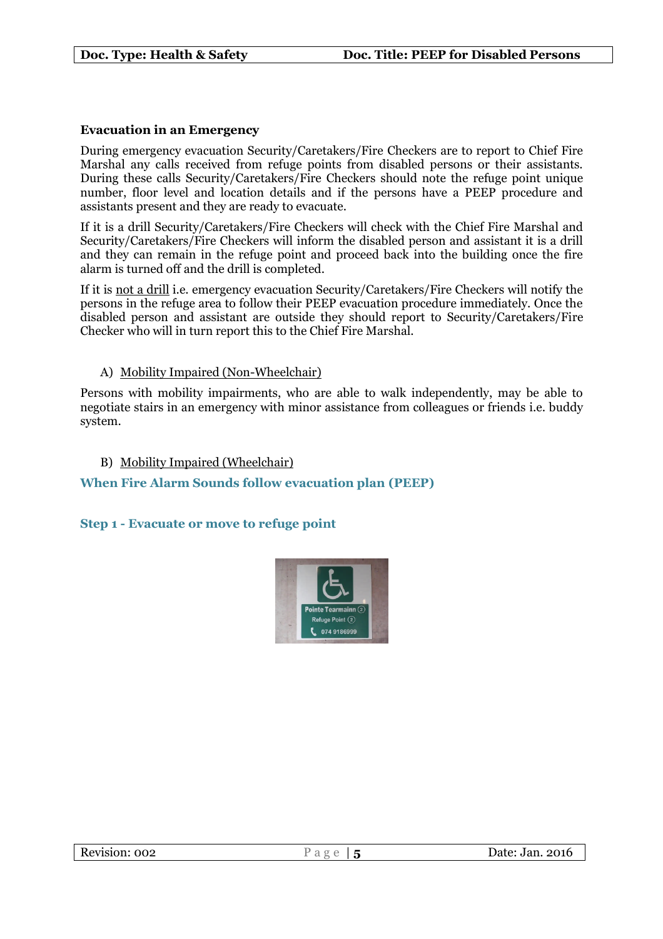# **Evacuation in an Emergency**

During emergency evacuation Security/Caretakers/Fire Checkers are to report to Chief Fire Marshal any calls received from refuge points from disabled persons or their assistants. During these calls Security/Caretakers/Fire Checkers should note the refuge point unique number, floor level and location details and if the persons have a PEEP procedure and assistants present and they are ready to evacuate.

If it is a drill Security/Caretakers/Fire Checkers will check with the Chief Fire Marshal and Security/Caretakers/Fire Checkers will inform the disabled person and assistant it is a drill and they can remain in the refuge point and proceed back into the building once the fire alarm is turned off and the drill is completed.

If it is not a drill i.e. emergency evacuation Security/Caretakers/Fire Checkers will notify the persons in the refuge area to follow their PEEP evacuation procedure immediately. Once the disabled person and assistant are outside they should report to Security/Caretakers/Fire Checker who will in turn report this to the Chief Fire Marshal.

# A) Mobility Impaired (Non-Wheelchair)

Persons with mobility impairments, who are able to walk independently, may be able to negotiate stairs in an emergency with minor assistance from colleagues or friends i.e. buddy system.

#### B) Mobility Impaired (Wheelchair)

# **When Fire Alarm Sounds follow evacuation plan (PEEP)**

#### **Step 1 - Evacuate or move to refuge point**

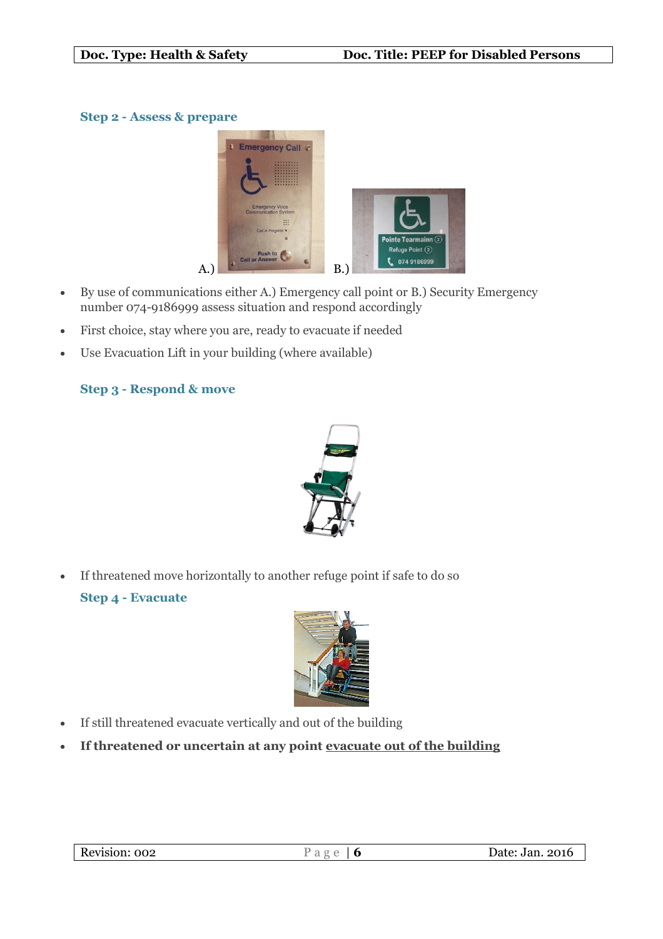# **Step 2 - Assess & prepare**



- By use of communications either A.) Emergency call point or B.) Security Emergency number 074-9186999 assess situation and respond accordingly
- First choice, stay where you are, ready to evacuate if needed
- Use Evacuation Lift in your building (where available)

# **Step 3 - Respond & move**



If threatened move horizontally to another refuge point if safe to do so

# **Step 4 - Evacuate**



- If still threatened evacuate vertically and out of the building
- **If threatened or uncertain at any point evacuate out of the building**

| Revision: 002 |                 |
|---------------|-----------------|
| -             | Date: Jan. 2016 |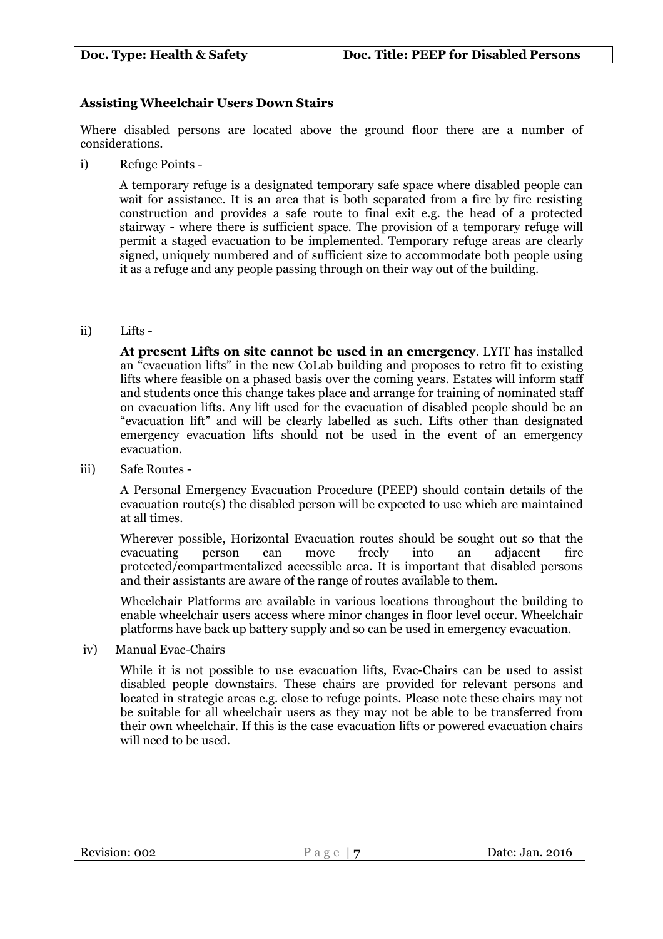# **Assisting Wheelchair Users Down Stairs**

Where disabled persons are located above the ground floor there are a number of considerations.

i) Refuge Points -

A temporary refuge is a designated temporary safe space where disabled people can wait for assistance. It is an area that is both separated from a fire by fire resisting construction and provides a safe route to final exit e.g. the head of a protected stairway - where there is sufficient space. The provision of a temporary refuge will permit a staged evacuation to be implemented. Temporary refuge areas are clearly signed, uniquely numbered and of sufficient size to accommodate both people using it as a refuge and any people passing through on their way out of the building.

ii) Lifts -

**At present Lifts on site cannot be used in an emergency**. LYIT has installed an "evacuation lifts" in the new CoLab building and proposes to retro fit to existing lifts where feasible on a phased basis over the coming years. Estates will inform staff and students once this change takes place and arrange for training of nominated staff on evacuation lifts. Any lift used for the evacuation of disabled people should be an "evacuation lift" and will be clearly labelled as such. Lifts other than designated emergency evacuation lifts should not be used in the event of an emergency evacuation.

iii) Safe Routes -

A Personal Emergency Evacuation Procedure (PEEP) should contain details of the evacuation route(s) the disabled person will be expected to use which are maintained at all times.

Wherever possible, Horizontal Evacuation routes should be sought out so that the evacuating person can move freely into an adjacent fire protected/compartmentalized accessible area. It is important that disabled persons and their assistants are aware of the range of routes available to them.

Wheelchair Platforms are available in various locations throughout the building to enable wheelchair users access where minor changes in floor level occur. Wheelchair platforms have back up battery supply and so can be used in emergency evacuation.

iv) Manual Evac-Chairs

While it is not possible to use evacuation lifts, Evac-Chairs can be used to assist disabled people downstairs. These chairs are provided for relevant persons and located in strategic areas e.g. close to refuge points. Please note these chairs may not be suitable for all wheelchair users as they may not be able to be transferred from their own wheelchair. If this is the case evacuation lifts or powered evacuation chairs will need to be used.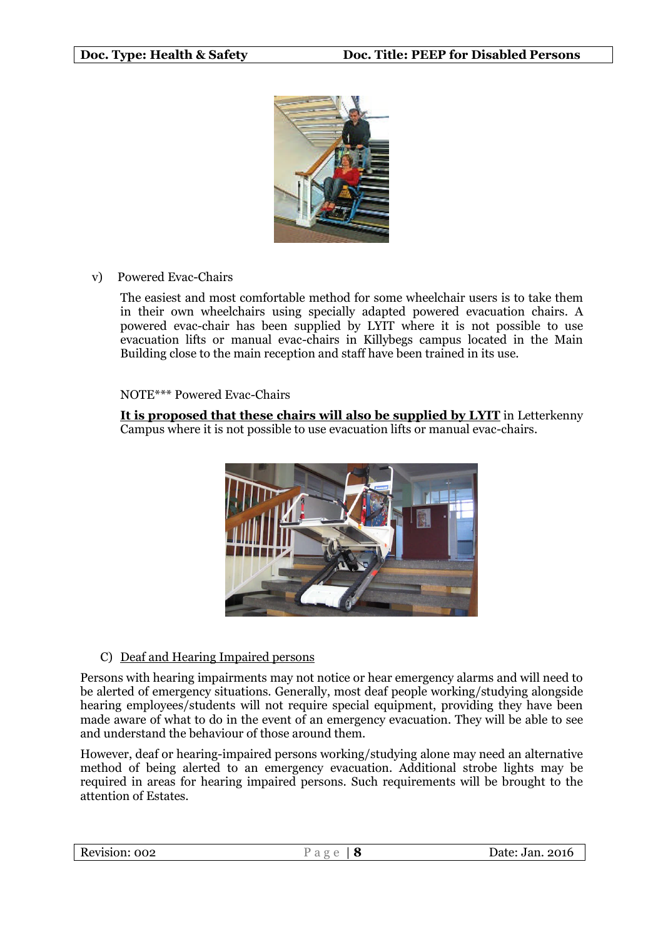

v) Powered Evac-Chairs

The easiest and most comfortable method for some wheelchair users is to take them in their own wheelchairs using specially adapted powered evacuation chairs. A powered evac-chair has been supplied by LYIT where it is not possible to use evacuation lifts or manual evac-chairs in Killybegs campus located in the Main Building close to the main reception and staff have been trained in its use.

#### NOTE\*\*\* Powered Evac-Chairs

**It is proposed that these chairs will also be supplied by LYIT** in Letterkenny Campus where it is not possible to use evacuation lifts or manual evac-chairs.



#### C) Deaf and Hearing Impaired persons

Persons with hearing impairments may not notice or hear emergency alarms and will need to be alerted of emergency situations. Generally, most deaf people working/studying alongside hearing employees/students will not require special equipment, providing they have been made aware of what to do in the event of an emergency evacuation. They will be able to see and understand the behaviour of those around them.

However, deaf or hearing-impaired persons working/studying alone may need an alternative method of being alerted to an emergency evacuation. Additional strobe lights may be required in areas for hearing impaired persons. Such requirements will be brought to the attention of Estates.

| Revision: 002 | a | Date: Jan. 2016 |
|---------------|---|-----------------|
|               |   |                 |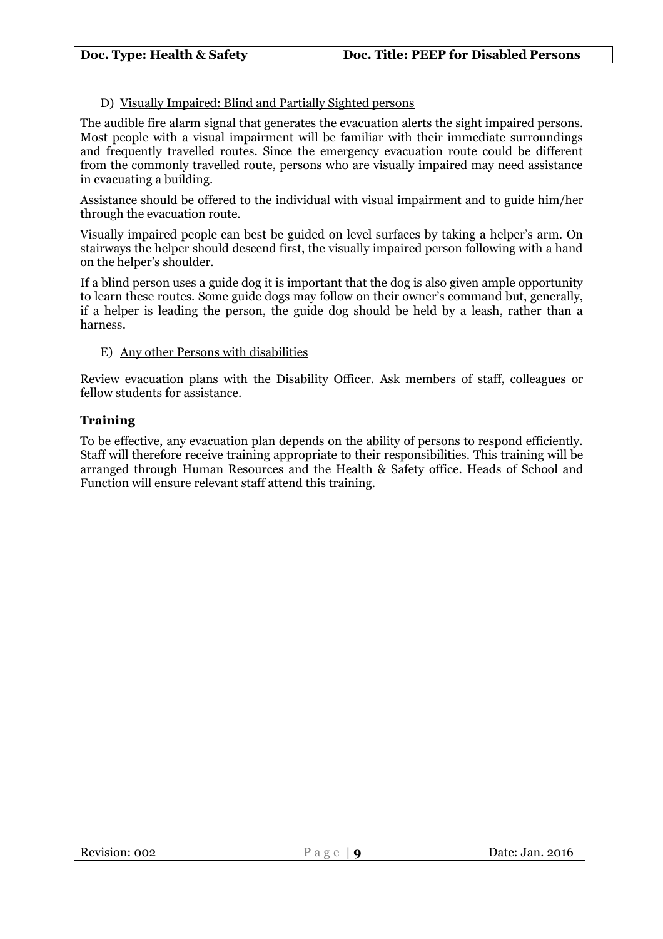# D) Visually Impaired: Blind and Partially Sighted persons

The audible fire alarm signal that generates the evacuation alerts the sight impaired persons. Most people with a visual impairment will be familiar with their immediate surroundings and frequently travelled routes. Since the emergency evacuation route could be different from the commonly travelled route, persons who are visually impaired may need assistance in evacuating a building.

Assistance should be offered to the individual with visual impairment and to guide him/her through the evacuation route.

Visually impaired people can best be guided on level surfaces by taking a helper's arm. On stairways the helper should descend first, the visually impaired person following with a hand on the helper's shoulder.

If a blind person uses a guide dog it is important that the dog is also given ample opportunity to learn these routes. Some guide dogs may follow on their owner's command but, generally, if a helper is leading the person, the guide dog should be held by a leash, rather than a harness.

#### E) Any other Persons with disabilities

Review evacuation plans with the Disability Officer. Ask members of staff, colleagues or fellow students for assistance.

#### **Training**

To be effective, any evacuation plan depends on the ability of persons to respond efficiently. Staff will therefore receive training appropriate to their responsibilities. This training will be arranged through Human Resources and the Health & Safety office. Heads of School and Function will ensure relevant staff attend this training.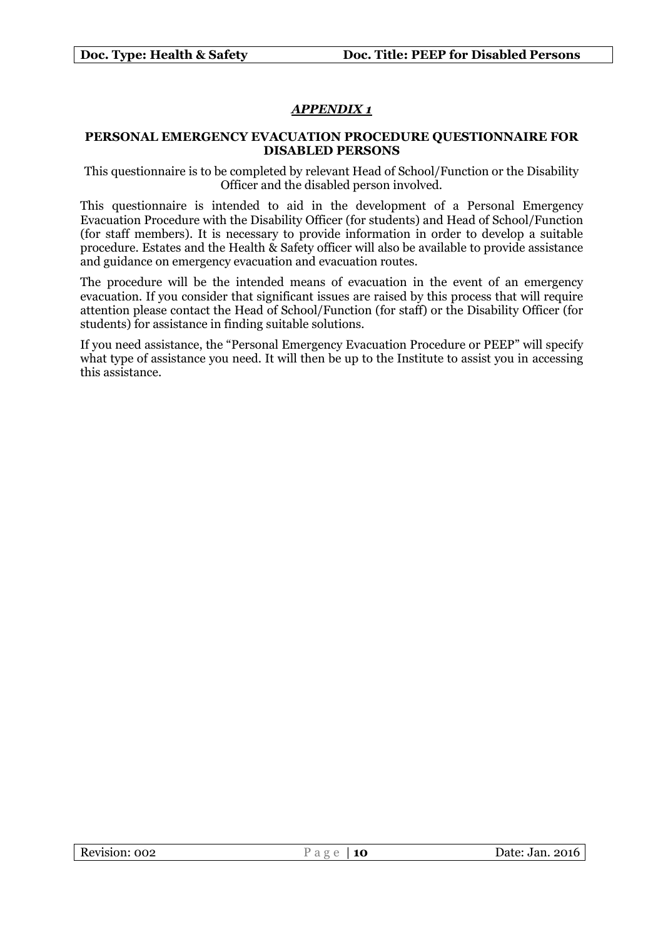# *APPENDIX 1*

#### **PERSONAL EMERGENCY EVACUATION PROCEDURE QUESTIONNAIRE FOR DISABLED PERSONS**

This questionnaire is to be completed by relevant Head of School/Function or the Disability Officer and the disabled person involved.

This questionnaire is intended to aid in the development of a Personal Emergency Evacuation Procedure with the Disability Officer (for students) and Head of School/Function (for staff members). It is necessary to provide information in order to develop a suitable procedure. Estates and the Health & Safety officer will also be available to provide assistance and guidance on emergency evacuation and evacuation routes.

The procedure will be the intended means of evacuation in the event of an emergency evacuation. If you consider that significant issues are raised by this process that will require attention please contact the Head of School/Function (for staff) or the Disability Officer (for students) for assistance in finding suitable solutions.

If you need assistance, the "Personal Emergency Evacuation Procedure or PEEP" will specify what type of assistance you need. It will then be up to the Institute to assist you in accessing this assistance.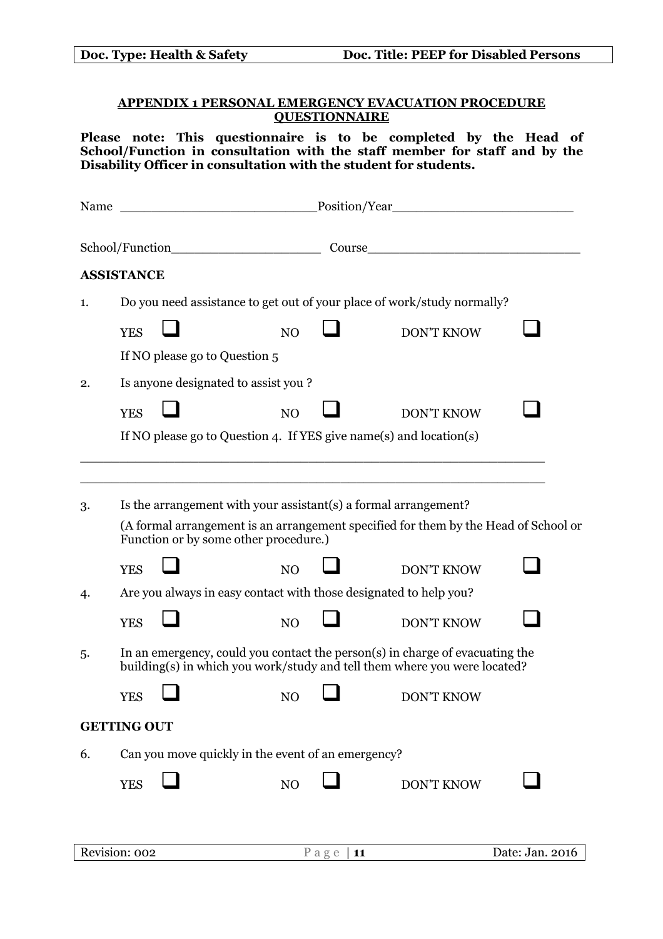|                                                                                   |                    | Doc. Type: Health & Safety    |                                                    |  | Doc. Title: PEEP for Disabled Persons                                                                                                                                                                                |  |
|-----------------------------------------------------------------------------------|--------------------|-------------------------------|----------------------------------------------------|--|----------------------------------------------------------------------------------------------------------------------------------------------------------------------------------------------------------------------|--|
| <b>APPENDIX 1 PERSONAL EMERGENCY EVACUATION PROCEDURE</b><br><b>QUESTIONNAIRE</b> |                    |                               |                                                    |  |                                                                                                                                                                                                                      |  |
|                                                                                   |                    |                               |                                                    |  | Please note: This questionnaire is to be completed by the Head of<br>School/Function in consultation with the staff member for staff and by the<br>Disability Officer in consultation with the student for students. |  |
|                                                                                   |                    |                               |                                                    |  |                                                                                                                                                                                                                      |  |
|                                                                                   |                    |                               |                                                    |  | School/Function Course Course                                                                                                                                                                                        |  |
|                                                                                   | <b>ASSISTANCE</b>  |                               |                                                    |  |                                                                                                                                                                                                                      |  |
| 1.                                                                                |                    |                               |                                                    |  | Do you need assistance to get out of your place of work/study normally?                                                                                                                                              |  |
|                                                                                   | <b>YES</b>         |                               | NO                                                 |  | <b>DON'T KNOW</b>                                                                                                                                                                                                    |  |
|                                                                                   |                    | If NO please go to Question 5 |                                                    |  |                                                                                                                                                                                                                      |  |
| 2.                                                                                |                    |                               | Is anyone designated to assist you?                |  |                                                                                                                                                                                                                      |  |
|                                                                                   | <b>YES</b>         |                               | NO                                                 |  | <b>DON'T KNOW</b>                                                                                                                                                                                                    |  |
|                                                                                   |                    |                               |                                                    |  | If NO please go to Question 4. If YES give name(s) and location(s)                                                                                                                                                   |  |
|                                                                                   |                    |                               |                                                    |  |                                                                                                                                                                                                                      |  |
| 3.                                                                                |                    |                               |                                                    |  | Is the arrangement with your assistant (s) a formal arrangement?                                                                                                                                                     |  |
|                                                                                   |                    |                               | Function or by some other procedure.)              |  | (A formal arrangement is an arrangement specified for them by the Head of School or                                                                                                                                  |  |
|                                                                                   | <b>YES</b>         |                               | NO                                                 |  | <b>DON'T KNOW</b>                                                                                                                                                                                                    |  |
| 4.                                                                                |                    |                               |                                                    |  | Are you always in easy contact with those designated to help you?                                                                                                                                                    |  |
|                                                                                   | <b>YES</b>         |                               | NO                                                 |  | <b>DON'T KNOW</b>                                                                                                                                                                                                    |  |
| 5.                                                                                |                    |                               |                                                    |  | In an emergency, could you contact the person(s) in charge of evacuating the<br>building(s) in which you work/study and tell them where you were located?                                                            |  |
|                                                                                   | <b>YES</b>         |                               | NO                                                 |  | <b>DON'T KNOW</b>                                                                                                                                                                                                    |  |
|                                                                                   | <b>GETTING OUT</b> |                               |                                                    |  |                                                                                                                                                                                                                      |  |
| 6.                                                                                |                    |                               | Can you move quickly in the event of an emergency? |  |                                                                                                                                                                                                                      |  |
|                                                                                   | <b>YES</b>         |                               | N <sub>O</sub>                                     |  | <b>DON'T KNOW</b>                                                                                                                                                                                                    |  |
|                                                                                   |                    |                               |                                                    |  |                                                                                                                                                                                                                      |  |

 $\mathsf{l}$ 

| Revision: 002 | - | Date: Jan.<br>. 2016 |
|---------------|---|----------------------|
|               |   |                      |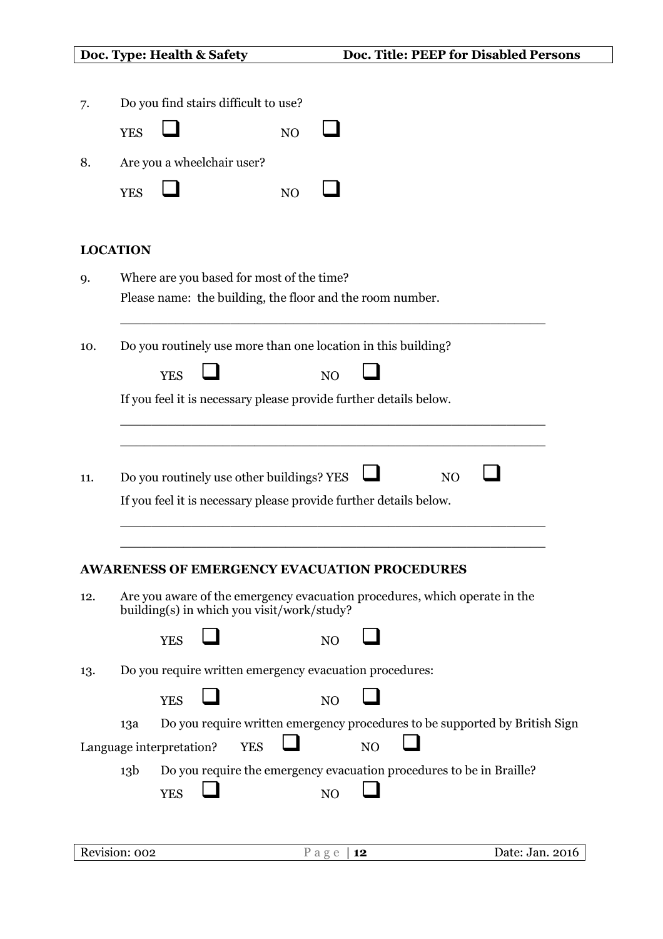| Doc. Type: Health & Safety |
|----------------------------|
|----------------------------|

| <b>YES</b><br>N <sub>O</sub><br>Are you a wheelchair user?<br><b>YES</b><br>N <sub>O</sub><br><b>LOCATION</b><br>Where are you based for most of the time?<br>Please name: the building, the floor and the room number.<br>Do you routinely use more than one location in this building?<br><b>YES</b><br>N <sub>O</sub><br>If you feel it is necessary please provide further details below.<br>Do you routinely use other buildings? YES<br>N <sub>O</sub><br>If you feel it is necessary please provide further details below.<br><b>AWARENESS OF EMERGENCY EVACUATION PROCEDURES</b><br>Are you aware of the emergency evacuation procedures, which operate in the<br>building(s) in which you visit/work/study?<br><b>YES</b><br>NO<br>Do you require written emergency evacuation procedures:<br><b>YES</b><br>N <sub>O</sub><br>Do you require written emergency procedures to be supported by British Sign<br>13a<br>NO<br><b>YES</b><br>Language interpretation?<br>Do you require the emergency evacuation procedures to be in Braille?<br>13 <sub>b</sub><br><b>YES</b><br>N <sub>O</sub><br>Revision: 002<br>Date: Jan. 2016<br>Page   $12$ | 7.  | Do you find stairs difficult to use? |
|---------------------------------------------------------------------------------------------------------------------------------------------------------------------------------------------------------------------------------------------------------------------------------------------------------------------------------------------------------------------------------------------------------------------------------------------------------------------------------------------------------------------------------------------------------------------------------------------------------------------------------------------------------------------------------------------------------------------------------------------------------------------------------------------------------------------------------------------------------------------------------------------------------------------------------------------------------------------------------------------------------------------------------------------------------------------------------------------------------------------------------------------------------|-----|--------------------------------------|
|                                                                                                                                                                                                                                                                                                                                                                                                                                                                                                                                                                                                                                                                                                                                                                                                                                                                                                                                                                                                                                                                                                                                                         |     |                                      |
|                                                                                                                                                                                                                                                                                                                                                                                                                                                                                                                                                                                                                                                                                                                                                                                                                                                                                                                                                                                                                                                                                                                                                         | 8.  |                                      |
|                                                                                                                                                                                                                                                                                                                                                                                                                                                                                                                                                                                                                                                                                                                                                                                                                                                                                                                                                                                                                                                                                                                                                         |     |                                      |
|                                                                                                                                                                                                                                                                                                                                                                                                                                                                                                                                                                                                                                                                                                                                                                                                                                                                                                                                                                                                                                                                                                                                                         |     |                                      |
|                                                                                                                                                                                                                                                                                                                                                                                                                                                                                                                                                                                                                                                                                                                                                                                                                                                                                                                                                                                                                                                                                                                                                         | 9.  |                                      |
|                                                                                                                                                                                                                                                                                                                                                                                                                                                                                                                                                                                                                                                                                                                                                                                                                                                                                                                                                                                                                                                                                                                                                         | 10. |                                      |
|                                                                                                                                                                                                                                                                                                                                                                                                                                                                                                                                                                                                                                                                                                                                                                                                                                                                                                                                                                                                                                                                                                                                                         |     |                                      |
|                                                                                                                                                                                                                                                                                                                                                                                                                                                                                                                                                                                                                                                                                                                                                                                                                                                                                                                                                                                                                                                                                                                                                         |     |                                      |
|                                                                                                                                                                                                                                                                                                                                                                                                                                                                                                                                                                                                                                                                                                                                                                                                                                                                                                                                                                                                                                                                                                                                                         |     |                                      |
|                                                                                                                                                                                                                                                                                                                                                                                                                                                                                                                                                                                                                                                                                                                                                                                                                                                                                                                                                                                                                                                                                                                                                         | 11. |                                      |
|                                                                                                                                                                                                                                                                                                                                                                                                                                                                                                                                                                                                                                                                                                                                                                                                                                                                                                                                                                                                                                                                                                                                                         |     |                                      |
|                                                                                                                                                                                                                                                                                                                                                                                                                                                                                                                                                                                                                                                                                                                                                                                                                                                                                                                                                                                                                                                                                                                                                         |     |                                      |
|                                                                                                                                                                                                                                                                                                                                                                                                                                                                                                                                                                                                                                                                                                                                                                                                                                                                                                                                                                                                                                                                                                                                                         |     |                                      |
|                                                                                                                                                                                                                                                                                                                                                                                                                                                                                                                                                                                                                                                                                                                                                                                                                                                                                                                                                                                                                                                                                                                                                         | 12. |                                      |
|                                                                                                                                                                                                                                                                                                                                                                                                                                                                                                                                                                                                                                                                                                                                                                                                                                                                                                                                                                                                                                                                                                                                                         |     |                                      |
|                                                                                                                                                                                                                                                                                                                                                                                                                                                                                                                                                                                                                                                                                                                                                                                                                                                                                                                                                                                                                                                                                                                                                         | 13. |                                      |
|                                                                                                                                                                                                                                                                                                                                                                                                                                                                                                                                                                                                                                                                                                                                                                                                                                                                                                                                                                                                                                                                                                                                                         |     |                                      |
|                                                                                                                                                                                                                                                                                                                                                                                                                                                                                                                                                                                                                                                                                                                                                                                                                                                                                                                                                                                                                                                                                                                                                         |     |                                      |
|                                                                                                                                                                                                                                                                                                                                                                                                                                                                                                                                                                                                                                                                                                                                                                                                                                                                                                                                                                                                                                                                                                                                                         |     |                                      |
|                                                                                                                                                                                                                                                                                                                                                                                                                                                                                                                                                                                                                                                                                                                                                                                                                                                                                                                                                                                                                                                                                                                                                         |     |                                      |
|                                                                                                                                                                                                                                                                                                                                                                                                                                                                                                                                                                                                                                                                                                                                                                                                                                                                                                                                                                                                                                                                                                                                                         |     |                                      |
|                                                                                                                                                                                                                                                                                                                                                                                                                                                                                                                                                                                                                                                                                                                                                                                                                                                                                                                                                                                                                                                                                                                                                         |     |                                      |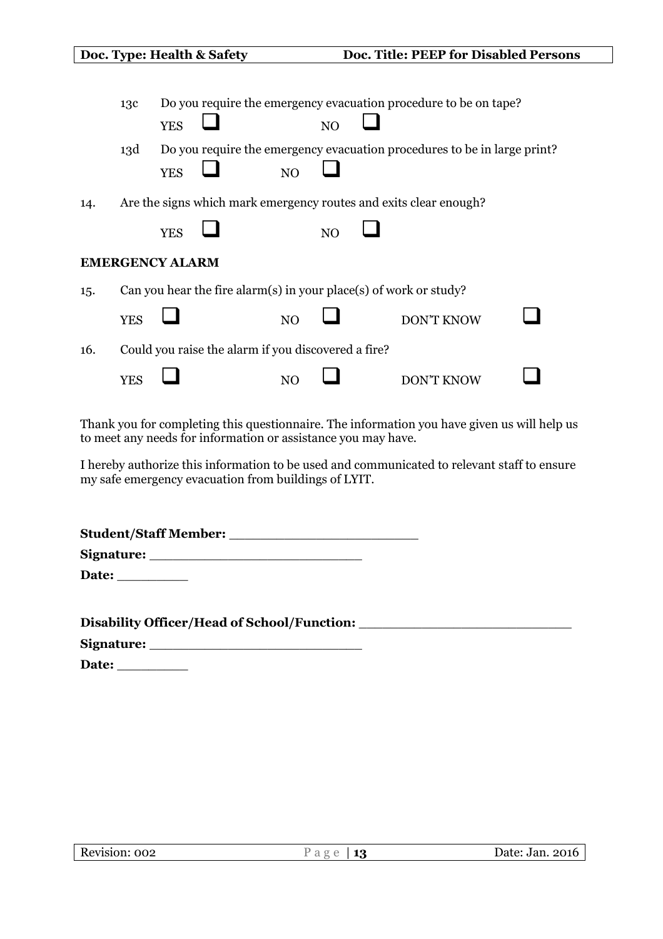|                        |            |            | Doc. Type: Health & Safety                                        |                |                | Doc. Title: PEEP for Disabled Persons                                    |  |
|------------------------|------------|------------|-------------------------------------------------------------------|----------------|----------------|--------------------------------------------------------------------------|--|
|                        | 13c        | <b>YES</b> |                                                                   |                | N <sub>O</sub> | Do you require the emergency evacuation procedure to be on tape?         |  |
|                        | 13d        | <b>YES</b> |                                                                   | N <sub>O</sub> |                | Do you require the emergency evacuation procedures to be in large print? |  |
| 14.                    |            |            |                                                                   |                |                | Are the signs which mark emergency routes and exits clear enough?        |  |
|                        |            | <b>YES</b> |                                                                   |                | N <sub>O</sub> |                                                                          |  |
| <b>EMERGENCY ALARM</b> |            |            |                                                                   |                |                |                                                                          |  |
| 15.                    |            |            | Can you hear the fire alarm(s) in your place(s) of work or study? |                |                |                                                                          |  |
|                        | <b>YES</b> |            |                                                                   | N <sub>O</sub> |                | <b>DON'T KNOW</b>                                                        |  |
| 16.                    |            |            | Could you raise the alarm if you discovered a fire?               |                |                |                                                                          |  |
|                        | <b>YES</b> |            |                                                                   | NO             |                | DON'T KNOW                                                               |  |

Thank you for completing this questionnaire. The information you have given us will help us to meet any needs for information or assistance you may have.

I hereby authorize this information to be used and communicated to relevant staff to ensure my safe emergency evacuation from buildings of LYIT.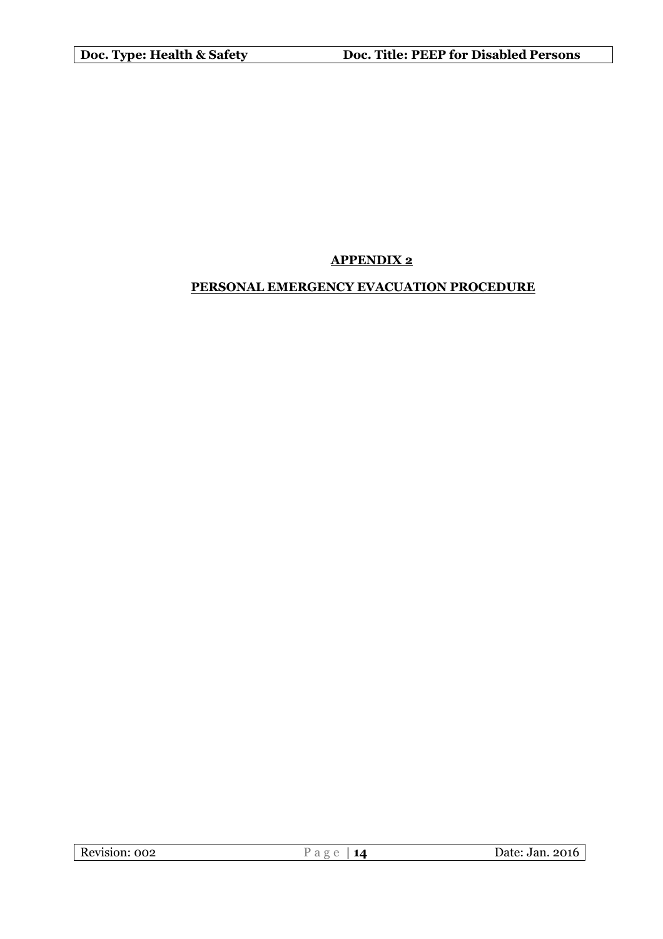# **APPENDIX 2**

# **PERSONAL EMERGENCY EVACUATION PROCEDURE**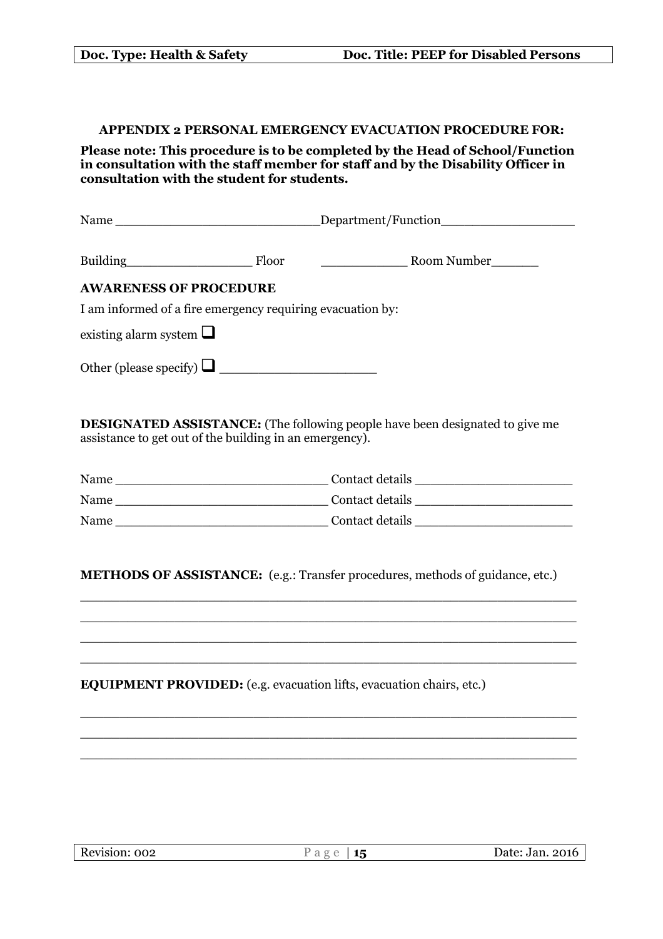#### **APPENDIX 2 PERSONAL EMERGENCY EVACUATION PROCEDURE FOR:**

**Please note: This procedure is to be completed by the Head of School/Function in consultation with the staff member for staff and by the Disability Officer in consultation with the student for students.**

|                                                            |  | Department/Function                                       |  |  |  |
|------------------------------------------------------------|--|-----------------------------------------------------------|--|--|--|
| Building Floor                                             |  | Room Number<br><u> 1980 - Jan Barbara Barbara, maskin</u> |  |  |  |
| <b>AWARENESS OF PROCEDURE</b>                              |  |                                                           |  |  |  |
| I am informed of a fire emergency requiring evacuation by: |  |                                                           |  |  |  |
| existing alarm system $\Box$                               |  |                                                           |  |  |  |
| Other (please specify) $\Box$                              |  |                                                           |  |  |  |
|                                                            |  |                                                           |  |  |  |

**DESIGNATED ASSISTANCE:** (The following people have been designated to give me assistance to get out of the building in an emergency).

| Name | Contact details |
|------|-----------------|
| Name | Contact details |
| Name | Contact details |

**METHODS OF ASSISTANCE:** (e.g.: Transfer procedures, methods of guidance, etc.)

\_\_\_\_\_\_\_\_\_\_\_\_\_\_\_\_\_\_\_\_\_\_\_\_\_\_\_\_\_\_\_\_\_\_\_\_\_\_\_\_\_\_\_\_\_\_\_\_\_\_\_\_\_\_\_\_\_\_\_\_\_\_\_ \_\_\_\_\_\_\_\_\_\_\_\_\_\_\_\_\_\_\_\_\_\_\_\_\_\_\_\_\_\_\_\_\_\_\_\_\_\_\_\_\_\_\_\_\_\_\_\_\_\_\_\_\_\_\_\_\_\_\_\_\_\_\_ \_\_\_\_\_\_\_\_\_\_\_\_\_\_\_\_\_\_\_\_\_\_\_\_\_\_\_\_\_\_\_\_\_\_\_\_\_\_\_\_\_\_\_\_\_\_\_\_\_\_\_\_\_\_\_\_\_\_\_\_\_\_\_ \_\_\_\_\_\_\_\_\_\_\_\_\_\_\_\_\_\_\_\_\_\_\_\_\_\_\_\_\_\_\_\_\_\_\_\_\_\_\_\_\_\_\_\_\_\_\_\_\_\_\_\_\_\_\_\_\_\_\_\_\_\_\_

\_\_\_\_\_\_\_\_\_\_\_\_\_\_\_\_\_\_\_\_\_\_\_\_\_\_\_\_\_\_\_\_\_\_\_\_\_\_\_\_\_\_\_\_\_\_\_\_\_\_\_\_\_\_\_\_\_\_\_\_\_\_\_ \_\_\_\_\_\_\_\_\_\_\_\_\_\_\_\_\_\_\_\_\_\_\_\_\_\_\_\_\_\_\_\_\_\_\_\_\_\_\_\_\_\_\_\_\_\_\_\_\_\_\_\_\_\_\_\_\_\_\_\_\_\_\_ \_\_\_\_\_\_\_\_\_\_\_\_\_\_\_\_\_\_\_\_\_\_\_\_\_\_\_\_\_\_\_\_\_\_\_\_\_\_\_\_\_\_\_\_\_\_\_\_\_\_\_\_\_\_\_\_\_\_\_\_\_\_\_

**EQUIPMENT PROVIDED:** (e.g. evacuation lifts, evacuation chairs, etc.)

| Revision: 002 | Ρяσρ | Date: Jan. 2016 |
|---------------|------|-----------------|
|               |      |                 |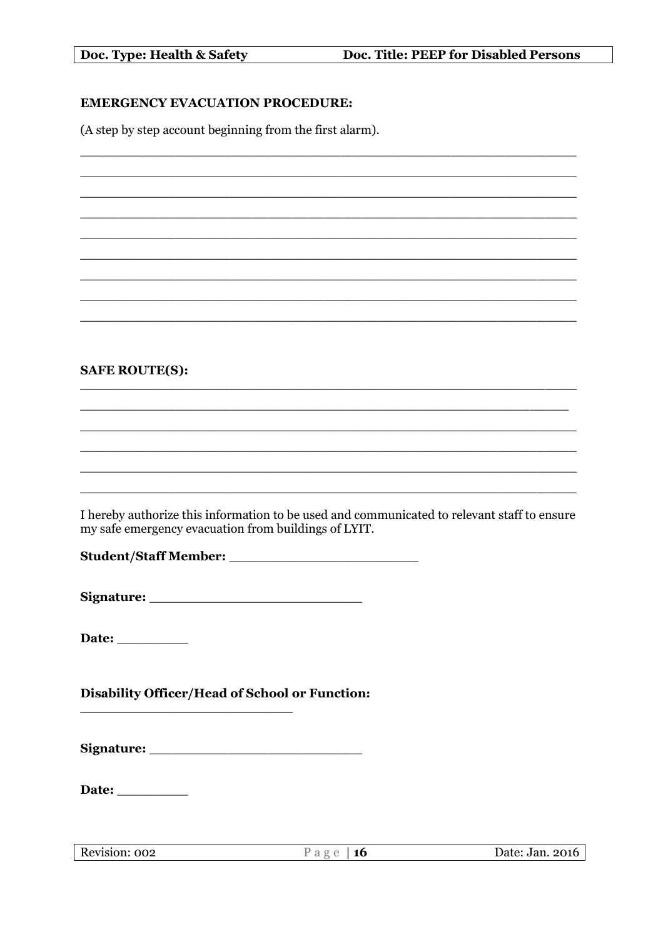Doc. Type: Health & Safety

# **EMERGENCY EVACUATION PROCEDURE:**

(A step by step account beginning from the first alarm).

# **SAFE ROUTE(S):**

I hereby authorize this information to be used and communicated to relevant staff to ensure my safe emergency evacuation from buildings of LYIT.

Date:

Disability Officer/Head of School or Function: